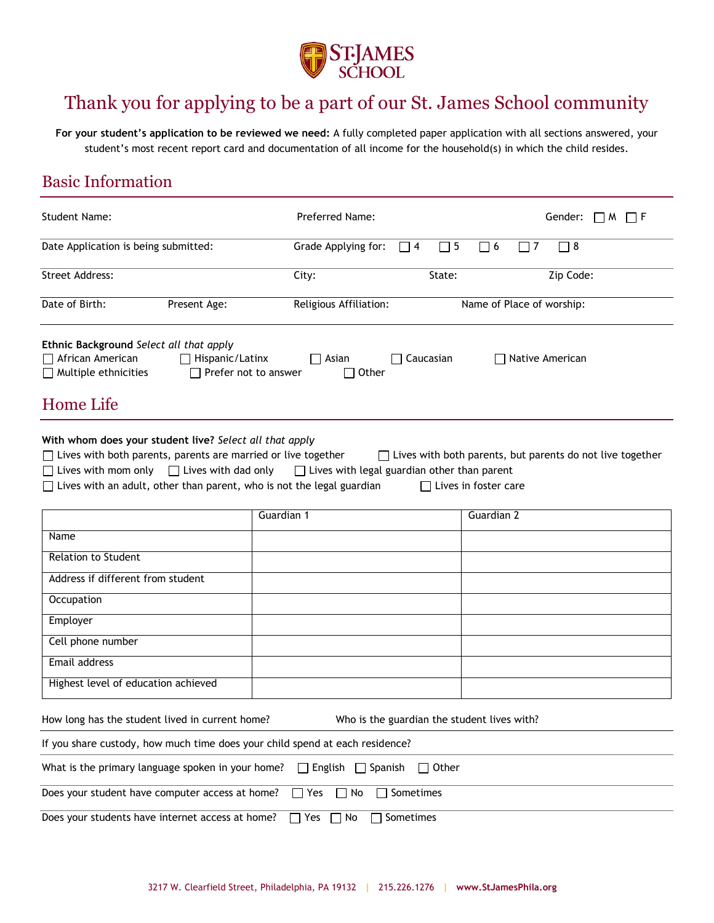

# Thank you for applying to be a part of our St. James School community

**For your student's application to be reviewed we need:** A fully completed paper application with all sections answered, your student's most recent report card and documentation of all income for the household(s) in which the child resides.

### Basic Information

| <b>Student Name:</b>                                                                                                                                                                                                                                                                                                        | Preferred Name:                                                          | Gender: $\Box M \Box F$                                                                         |
|-----------------------------------------------------------------------------------------------------------------------------------------------------------------------------------------------------------------------------------------------------------------------------------------------------------------------------|--------------------------------------------------------------------------|-------------------------------------------------------------------------------------------------|
| Date Application is being submitted:                                                                                                                                                                                                                                                                                        | Grade Applying for:<br>$\Box$ 4                                          | $\Box$ 8<br>$\Box$ 5<br>$\Box$ 6<br>$\sqsupset$ 7                                               |
| <b>Street Address:</b>                                                                                                                                                                                                                                                                                                      | City:                                                                    | Zip Code:<br>State:                                                                             |
| Date of Birth:<br>Present Age:                                                                                                                                                                                                                                                                                              | Religious Affiliation:                                                   | Name of Place of worship:                                                                       |
| Ethnic Background Select all that apply<br>African American<br>$\Box$ Hispanic/Latinx<br>$\Box$ Multiple ethnicities                                                                                                                                                                                                        | $\Box$ Caucasian<br>$\Box$ Asian<br>$\Box$ Prefer not to answer<br>Other | $\Box$ Native American                                                                          |
| Home Life                                                                                                                                                                                                                                                                                                                   |                                                                          |                                                                                                 |
| With whom does your student live? Select all that apply<br>$\Box$ Lives with both parents, parents are married or live together<br>$\Box$ Lives with mom only $\Box$ Lives with dad only $\Box$ Lives with legal guardian other than parent<br>$\Box$ Lives with an adult, other than parent, who is not the legal guardian |                                                                          | $\Box$ Lives with both parents, but parents do not live together<br>$\Box$ Lives in foster care |
|                                                                                                                                                                                                                                                                                                                             | Guardian 1                                                               | Guardian <sub>2</sub>                                                                           |
| Name                                                                                                                                                                                                                                                                                                                        |                                                                          |                                                                                                 |
| <b>Relation to Student</b>                                                                                                                                                                                                                                                                                                  |                                                                          |                                                                                                 |
| Address if different from student                                                                                                                                                                                                                                                                                           |                                                                          |                                                                                                 |
| Occupation                                                                                                                                                                                                                                                                                                                  |                                                                          |                                                                                                 |
| Employer                                                                                                                                                                                                                                                                                                                    |                                                                          |                                                                                                 |
| Cell phone number                                                                                                                                                                                                                                                                                                           |                                                                          |                                                                                                 |
| Email address                                                                                                                                                                                                                                                                                                               |                                                                          |                                                                                                 |
| Highest level of education achieved                                                                                                                                                                                                                                                                                         |                                                                          |                                                                                                 |
| How long has the student lived in current home?                                                                                                                                                                                                                                                                             | Who is the guardian the student lives with?                              |                                                                                                 |
| If you share custody, how much time does your child spend at each residence?                                                                                                                                                                                                                                                |                                                                          |                                                                                                 |
| What is the primary language spoken in your home?                                                                                                                                                                                                                                                                           | $\Box$ English $\Box$ Spanish<br>$\Box$ Other                            |                                                                                                 |
| Does your student have computer access at home?                                                                                                                                                                                                                                                                             | $\Box$ Yes<br>Sometimes<br>No<br>$\mathbf{L}$                            |                                                                                                 |
| Does your students have internet access at home?                                                                                                                                                                                                                                                                            | Sometimes<br>Yes<br>No                                                   |                                                                                                 |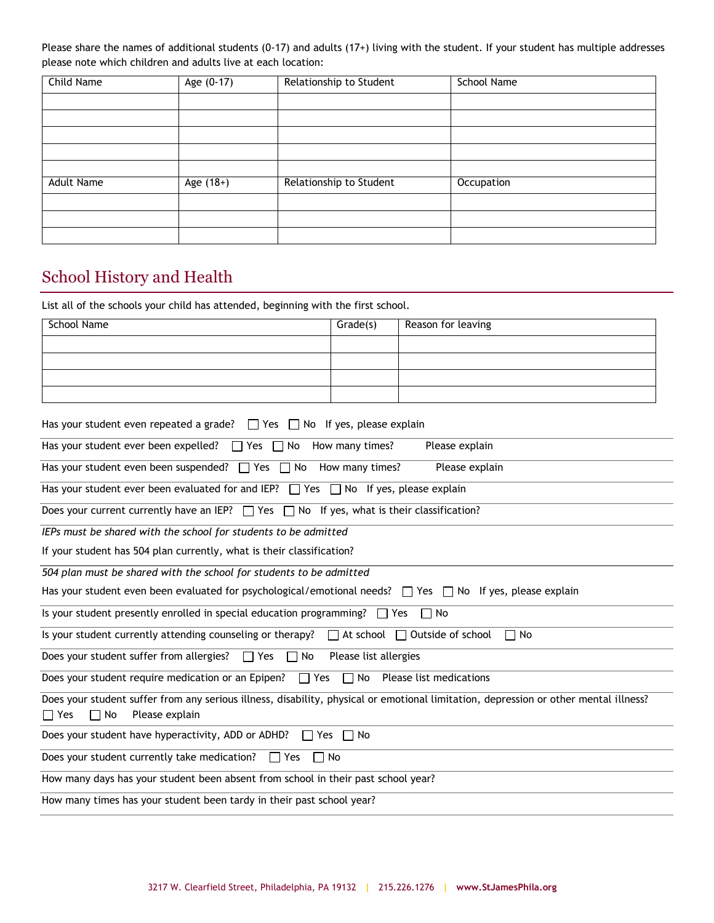Please share the names of additional students (0-17) and adults (17+) living with the student. If your student has multiple addresses please note which children and adults live at each location:

| Child Name        | Age $(0-17)$ | Relationship to Student | <b>School Name</b> |
|-------------------|--------------|-------------------------|--------------------|
|                   |              |                         |                    |
|                   |              |                         |                    |
|                   |              |                         |                    |
|                   |              |                         |                    |
|                   |              |                         |                    |
| <b>Adult Name</b> | Age (18+)    | Relationship to Student | Occupation         |
|                   |              |                         |                    |
|                   |              |                         |                    |
|                   |              |                         |                    |

# School History and Health

List all of the schools your child has attended, beginning with the first school.

| <b>School Name</b> | Grade(s) | Reason for leaving |
|--------------------|----------|--------------------|
|                    |          |                    |
|                    |          |                    |
|                    |          |                    |
|                    |          |                    |

#### Has your student even repeated a grade?  $\Box$  Yes  $\Box$  No If yes, please explain

| Has your student ever been expelled? $\Box$ Yes $\Box$ No<br>How many times?<br>Please explain                                                                                    |
|-----------------------------------------------------------------------------------------------------------------------------------------------------------------------------------|
| Has your student even been suspended? $\Box$ Yes $\Box$ No How many times?<br>Please explain                                                                                      |
| Has your student ever been evaluated for and IEP? $\Box$ Yes $\Box$ No If yes, please explain                                                                                     |
| Does your current currently have an IEP? $\Box$ Yes $\Box$ No If yes, what is their classification?                                                                               |
| IEPs must be shared with the school for students to be admitted                                                                                                                   |
| If your student has 504 plan currently, what is their classification?                                                                                                             |
| 504 plan must be shared with the school for students to be admitted                                                                                                               |
| Has your student even been evaluated for psychological/emotional needs? $\Box$ Yes $\Box$ No If yes, please explain                                                               |
| Is your student presently enrolled in special education programming? $\Box$ Yes<br>$\Box$ No                                                                                      |
| Is your student currently attending counseling or therapy? $\Box$ At school $\Box$ Outside of school<br>$\Box$ No                                                                 |
| Does your student suffer from allergies? $\Box$ Yes $\Box$ No<br>Please list allergies                                                                                            |
| Does your student require medication or an Epipen? $\Box$ Yes $\Box$ No Please list medications                                                                                   |
| Does your student suffer from any serious illness, disability, physical or emotional limitation, depression or other mental illness?<br>$\Box$ Yes<br>$\Box$ No<br>Please explain |
| Does your student have hyperactivity, ADD or ADHD? $\Box$ Yes $\Box$ No                                                                                                           |
| Does your student currently take medication?<br>$\Box$ Yes<br>$\Box$ No                                                                                                           |
| How many days has your student been absent from school in their past school year?                                                                                                 |
| How many times has your student been tardy in their past school year?                                                                                                             |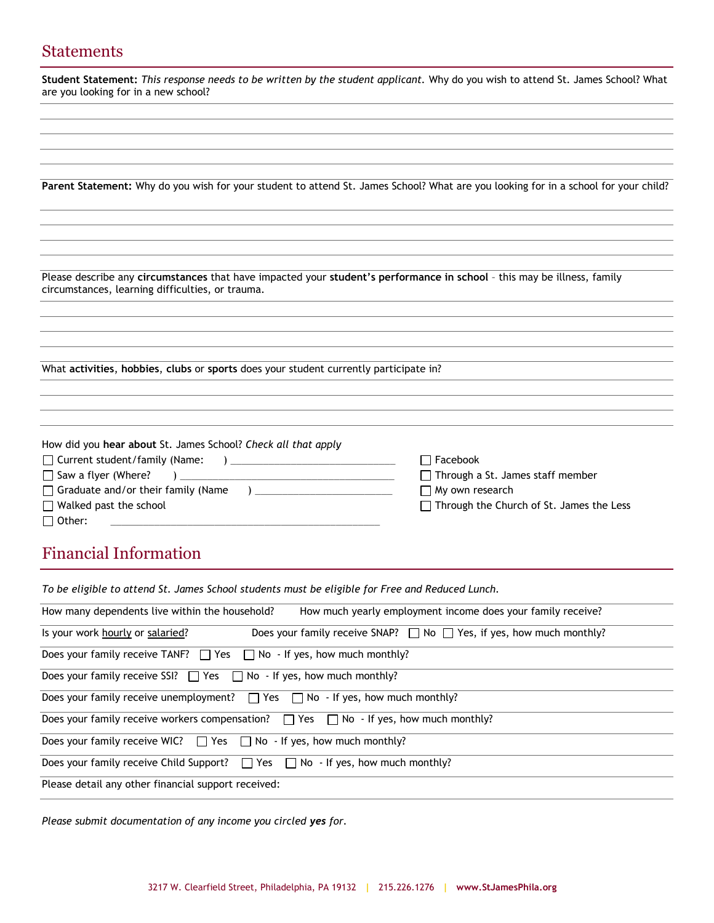#### **Statements**

**Student Statement:** *This response needs to be written by the student applicant.* Why do you wish to attend St. James School? What are you looking for in a new school?

**Parent Statement:** Why do you wish for your student to attend St. James School? What are you looking for in a school for your child?

Please describe any **circumstances** that have impacted your **student's performance in school** – this may be illness, family circumstances, learning difficulties, or trauma.

What **activities**, **hobbies**, **clubs** or **sports** does your student currently participate in?

| How did you hear about St. James School? Check all that apply |                                                 |
|---------------------------------------------------------------|-------------------------------------------------|
| $\Box$ Current student/family (Name:                          | $\Box$ Facebook                                 |
| $\Box$ Saw a flyer (Where?                                    | $\Box$ Through a St. James staff member         |
| $\Box$ Graduate and/or their family (Name                     | $\Box$ My own research                          |
| $\Box$ Walked past the school                                 | $\Box$ Through the Church of St. James the Less |
| $\Box$ Other:                                                 |                                                 |
|                                                               |                                                 |

# Financial Information

| To be eligible to attend St. James School students must be eligible for Free and Reduced Lunch.                    |
|--------------------------------------------------------------------------------------------------------------------|
| How many dependents live within the household?<br>How much yearly employment income does your family receive?      |
| Does your family receive SNAP? $\Box$ No $\Box$ Yes, if yes, how much monthly?<br>Is your work hourly or salaried? |
| Does your family receive TANF? $\Box$ Yes $\Box$ No - If yes, how much monthly?                                    |
| Does your family receive SSI? $\Box$ Yes $\Box$ No - If yes, how much monthly?                                     |
| Does your family receive unemployment? $\Box$ Yes $\Box$ No - If yes, how much monthly?                            |
| Does your family receive workers compensation? $\Box$ Yes $\Box$ No - If yes, how much monthly?                    |
| Does your family receive WIC? $\Box$ Yes $\Box$ No - If yes, how much monthly?                                     |
| Does your family receive Child Support? $\Box$ Yes $\Box$ No - If yes, how much monthly?                           |
| Please detail any other financial support received:                                                                |
|                                                                                                                    |

*Please submit documentation of any income you circled yes for.*